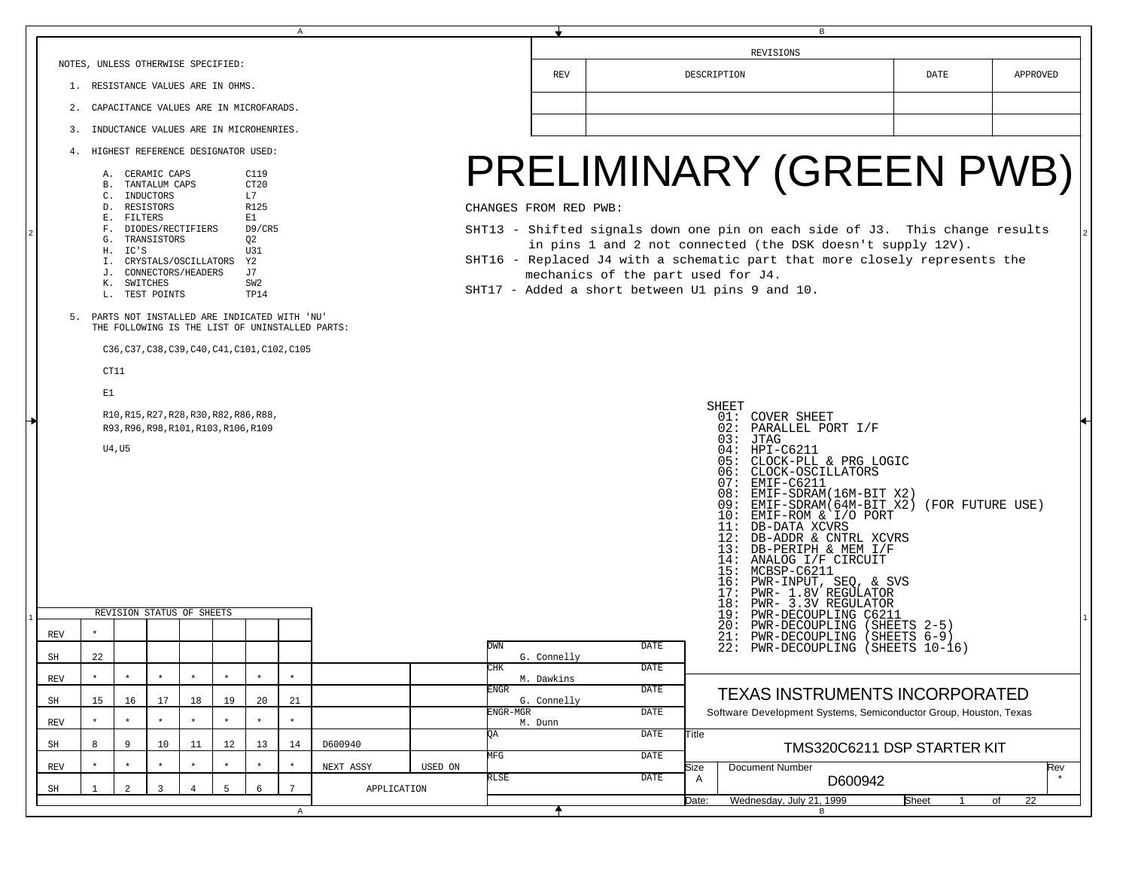|                                                                                                    |                                                                                                                                                                                                                                                                                                                                                                                                                  |                                                            |                |    |    |              | A              | В           |         |                                                      |                                  |       |                                                                   |                  |          |  |
|----------------------------------------------------------------------------------------------------|------------------------------------------------------------------------------------------------------------------------------------------------------------------------------------------------------------------------------------------------------------------------------------------------------------------------------------------------------------------------------------------------------------------|------------------------------------------------------------|----------------|----|----|--------------|----------------|-------------|---------|------------------------------------------------------|----------------------------------|-------|-------------------------------------------------------------------|------------------|----------|--|
|                                                                                                    |                                                                                                                                                                                                                                                                                                                                                                                                                  |                                                            |                |    |    |              |                | REVISIONS   |         |                                                      |                                  |       |                                                                   |                  |          |  |
|                                                                                                    | NOTES, UNLESS OTHERWISE SPECIFIED:<br>1. RESISTANCE VALUES ARE IN OHMS.                                                                                                                                                                                                                                                                                                                                          |                                                            |                |    |    |              |                |             |         |                                                      |                                  |       | DESCRIPTION                                                       | DATE             | APPROVED |  |
| CAPACITANCE VALUES ARE IN MICROFARADS.<br>2.                                                       |                                                                                                                                                                                                                                                                                                                                                                                                                  |                                                            |                |    |    |              |                |             |         |                                                      |                                  |       |                                                                   |                  |          |  |
|                                                                                                    | 3.                                                                                                                                                                                                                                                                                                                                                                                                               | INDUCTANCE VALUES ARE IN MICROHENRIES.                     |                |    |    |              |                |             |         |                                                      |                                  |       |                                                                   |                  |          |  |
| 4. HIGHEST REFERENCE DESIGNATOR USED:                                                              |                                                                                                                                                                                                                                                                                                                                                                                                                  |                                                            |                |    |    |              |                |             |         |                                                      |                                  |       |                                                                   |                  |          |  |
|                                                                                                    |                                                                                                                                                                                                                                                                                                                                                                                                                  | C119<br>A. CERAMIC CAPS<br>CT20<br><b>B. TANTALUM CAPS</b> |                |    |    |              |                |             |         |                                                      |                                  |       | PRELIMINARY (GREEN PWB)                                           |                  |          |  |
|                                                                                                    | C.                                                                                                                                                                                                                                                                                                                                                                                                               | INDUCTORS<br>D. RESISTORS                                  |                |    |    | L7<br>R125   |                |             |         | CHANGES FROM RED PWB:                                |                                  |       |                                                                   |                  |          |  |
|                                                                                                    |                                                                                                                                                                                                                                                                                                                                                                                                                  | E. FILTERS                                                 |                |    |    | E1<br>D9/CR5 |                |             |         |                                                      |                                  |       |                                                                   |                  |          |  |
|                                                                                                    | SHT13 - Shifted signals down one pin on each side of J3. This change results<br>F. DIODES/RECTIFIERS<br>TRANSISTORS<br>Q <sub>2</sub><br>G.<br>in pins 1 and 2 not connected (the DSK doesn't supply 12V).<br>U31<br>H. IC'S<br>SHT16 - Replaced J4 with a schematic part that more closely represents the<br>I. CRYSTALS/OSCILLATORS<br>Y2<br>J. CONNECTORS/HEADERS<br>J7<br>mechanics of the part used for J4. |                                                            |                |    |    |              |                |             |         |                                                      |                                  |       |                                                                   |                  |          |  |
|                                                                                                    |                                                                                                                                                                                                                                                                                                                                                                                                                  |                                                            |                |    |    |              |                |             |         |                                                      |                                  |       |                                                                   |                  |          |  |
| SWITCHES<br>SW2<br>К.<br>SHT17 - Added a short between U1 pins 9 and 10.<br>L. TEST POINTS<br>TP14 |                                                                                                                                                                                                                                                                                                                                                                                                                  |                                                            |                |    |    |              |                |             |         |                                                      |                                  |       |                                                                   |                  |          |  |
|                                                                                                    | 5. PARTS NOT INSTALLED ARE INDICATED WITH 'NU'<br>THE FOLLOWING IS THE LIST OF UNINSTALLED PARTS:                                                                                                                                                                                                                                                                                                                |                                                            |                |    |    |              |                |             |         |                                                      |                                  |       |                                                                   |                  |          |  |
|                                                                                                    |                                                                                                                                                                                                                                                                                                                                                                                                                  | C36, C37, C38, C39, C40, C41, C101, C102, C105             |                |    |    |              |                |             |         |                                                      |                                  |       |                                                                   |                  |          |  |
|                                                                                                    |                                                                                                                                                                                                                                                                                                                                                                                                                  | CT11                                                       |                |    |    |              |                |             |         |                                                      |                                  |       |                                                                   |                  |          |  |
|                                                                                                    | E1                                                                                                                                                                                                                                                                                                                                                                                                               |                                                            |                |    |    |              |                |             |         |                                                      |                                  |       |                                                                   |                  |          |  |
|                                                                                                    |                                                                                                                                                                                                                                                                                                                                                                                                                  |                                                            |                |    |    |              |                |             |         |                                                      |                                  |       | SHEET<br>01: COVER SHEET                                          |                  |          |  |
|                                                                                                    | R10, R15, R27, R28, R30, R82, R86, R88,<br>R93, R96, R98, R101, R103, R106, R109                                                                                                                                                                                                                                                                                                                                 |                                                            |                |    |    |              |                |             |         |                                                      | 02: PARALLEL PORT I/F<br>03:JTAG |       |                                                                   |                  |          |  |
|                                                                                                    | U4, U5                                                                                                                                                                                                                                                                                                                                                                                                           |                                                            |                |    |    |              |                |             |         |                                                      |                                  |       | 04: HPI-C6211<br>05: CLOCK-PLL & PRG LOGIC                        |                  |          |  |
|                                                                                                    |                                                                                                                                                                                                                                                                                                                                                                                                                  |                                                            |                |    |    |              |                |             |         |                                                      |                                  |       | 06: CLOCK-OSCILLATORS<br>07: EMIF-C6211                           |                  |          |  |
|                                                                                                    |                                                                                                                                                                                                                                                                                                                                                                                                                  |                                                            |                |    |    |              |                |             |         |                                                      |                                  |       | 08: EMIF-SDRAM(16M-BIT X2<br>09: EMIF-SDRAM(64M-BIT X2)           | (FOR FUTURE USE) |          |  |
|                                                                                                    |                                                                                                                                                                                                                                                                                                                                                                                                                  |                                                            |                |    |    |              |                |             |         | 10: EMIF-ROM & I/O PORT<br>11: DB-DATA XCVRS         |                                  |       |                                                                   |                  |          |  |
|                                                                                                    |                                                                                                                                                                                                                                                                                                                                                                                                                  |                                                            |                |    |    |              |                |             |         | 12: DB-ADDR & CNTRL XCVRS<br>13: DB-PERIPH & MEM I/F |                                  |       |                                                                   |                  |          |  |
|                                                                                                    |                                                                                                                                                                                                                                                                                                                                                                                                                  |                                                            |                |    |    |              |                |             |         |                                                      |                                  |       | 14: ANALOG I/F CIRCUIT<br>15: MCBSP-C6211                         |                  |          |  |
|                                                                                                    |                                                                                                                                                                                                                                                                                                                                                                                                                  |                                                            |                |    |    |              |                |             |         |                                                      |                                  |       | 16: PWR-INPUT, SEQ, & SVS<br>17:<br>PWR- 1.8V REGULATOR           |                  |          |  |
|                                                                                                    |                                                                                                                                                                                                                                                                                                                                                                                                                  | REVISION STATUS OF SHEETS                                  |                |    |    |              |                |             |         |                                                      |                                  |       | 18: PWR- 3.3V REGULATOR<br>19: PWR-DECOUPLING C6211               |                  |          |  |
| <b>REV</b>                                                                                         | $\star$                                                                                                                                                                                                                                                                                                                                                                                                          |                                                            |                |    |    |              |                |             |         |                                                      |                                  |       | 20:<br>PWR-DECOUPLING (SHEETS 2-5)<br>21: PWR-DECOUPLING          | $(SHEETS 6-9)$   |          |  |
| SH                                                                                                 | 22                                                                                                                                                                                                                                                                                                                                                                                                               |                                                            |                |    |    |              |                |             |         | DWN<br>G. Connelly                                   | DATE                             |       | 22: PWR-DECOUPLING (SHEETS 10-16)                                 |                  |          |  |
| REV                                                                                                |                                                                                                                                                                                                                                                                                                                                                                                                                  | $\star$                                                    |                |    |    | $\star$      |                |             |         | CHK<br>M. Dawkins                                    | DATE                             |       |                                                                   |                  |          |  |
| SH                                                                                                 | 15                                                                                                                                                                                                                                                                                                                                                                                                               | 16                                                         | 17             | 18 | 19 | 20           | 21             |             |         | <b>ENGR</b><br>G. Connelly                           | <b>DATE</b>                      |       | <b>TEXAS INSTRUMENTS INCORPORATED</b>                             |                  |          |  |
| <b>REV</b>                                                                                         |                                                                                                                                                                                                                                                                                                                                                                                                                  | $\star$                                                    |                |    |    |              |                |             |         | ENGR-MGR<br>M. Dunn                                  | DATE                             |       | Software Development Systems, Semiconductor Group, Houston, Texas |                  |          |  |
| SH                                                                                                 |                                                                                                                                                                                                                                                                                                                                                                                                                  | 9                                                          | 10             | 11 | 12 | 13           | 14             | D600940     |         | QA                                                   | <b>DATE</b>                      | Title | TMS320C6211 DSP STARTER KIT                                       |                  |          |  |
| <b>REV</b>                                                                                         |                                                                                                                                                                                                                                                                                                                                                                                                                  | $\star$                                                    |                |    |    |              | $\star$        | NEXT ASSY   | USED ON | MFG                                                  | DATE                             | Size  | Document Number                                                   |                  | Rev      |  |
| SH                                                                                                 |                                                                                                                                                                                                                                                                                                                                                                                                                  | 2                                                          | $\overline{3}$ |    | 5  | 6            | $\overline{7}$ | APPLICATION |         | RLSE                                                 | DATE                             | A     | D600942                                                           |                  |          |  |
|                                                                                                    |                                                                                                                                                                                                                                                                                                                                                                                                                  |                                                            |                |    |    |              | $\mathsf{A}$   |             |         |                                                      |                                  | Date: | Wednesday, July 21, 1999                                          | Sheet            | 22<br>of |  |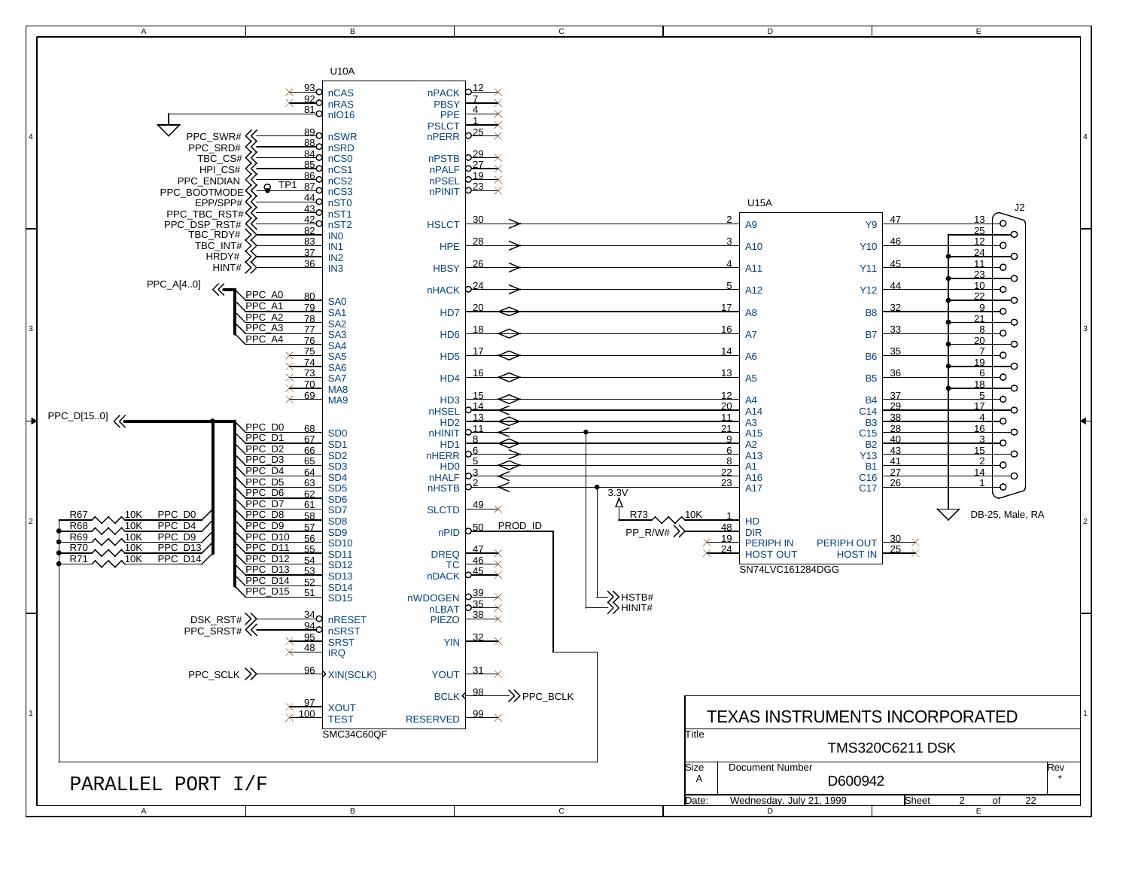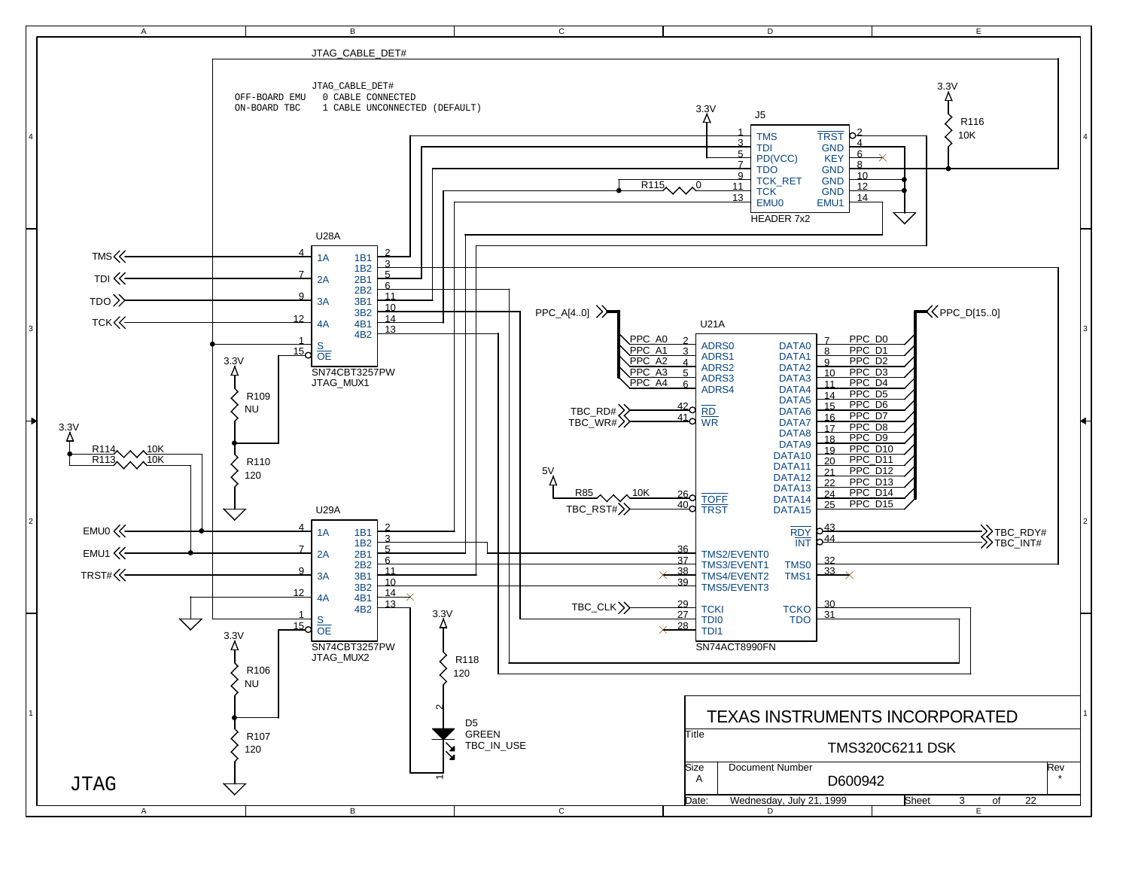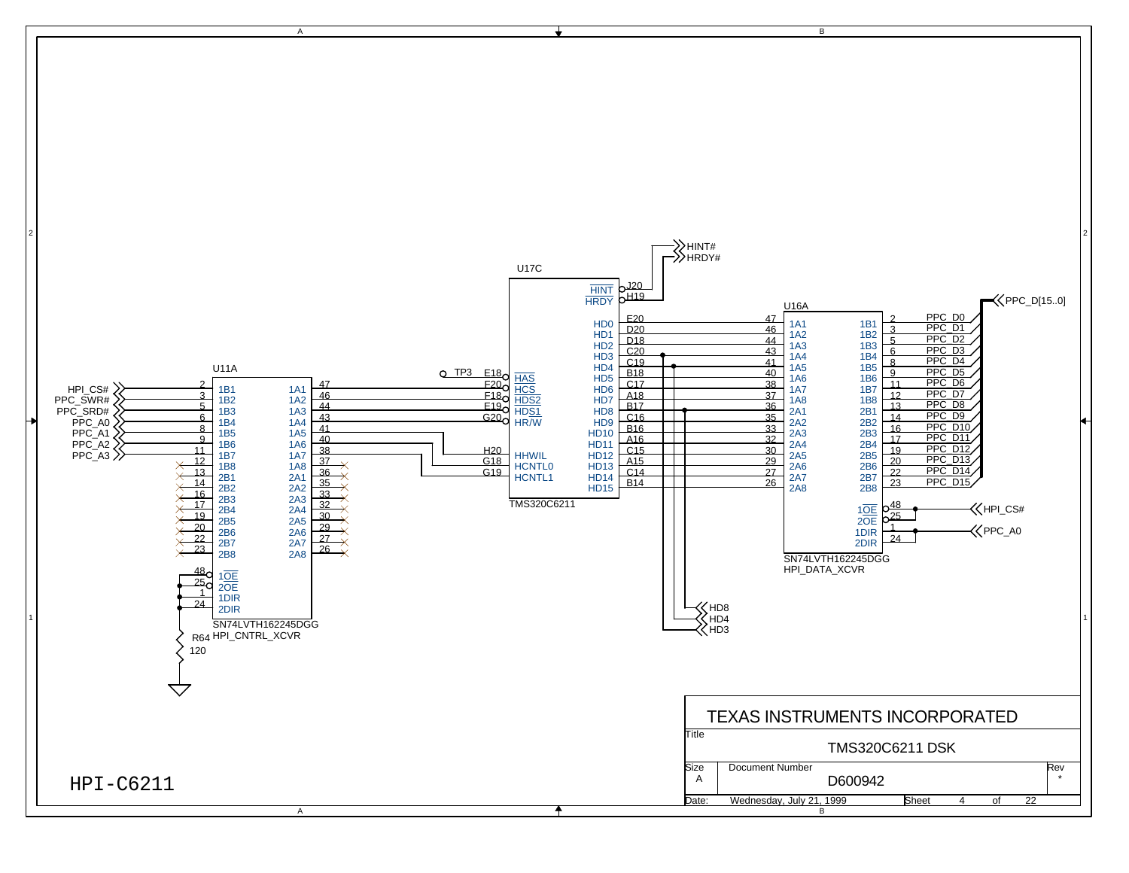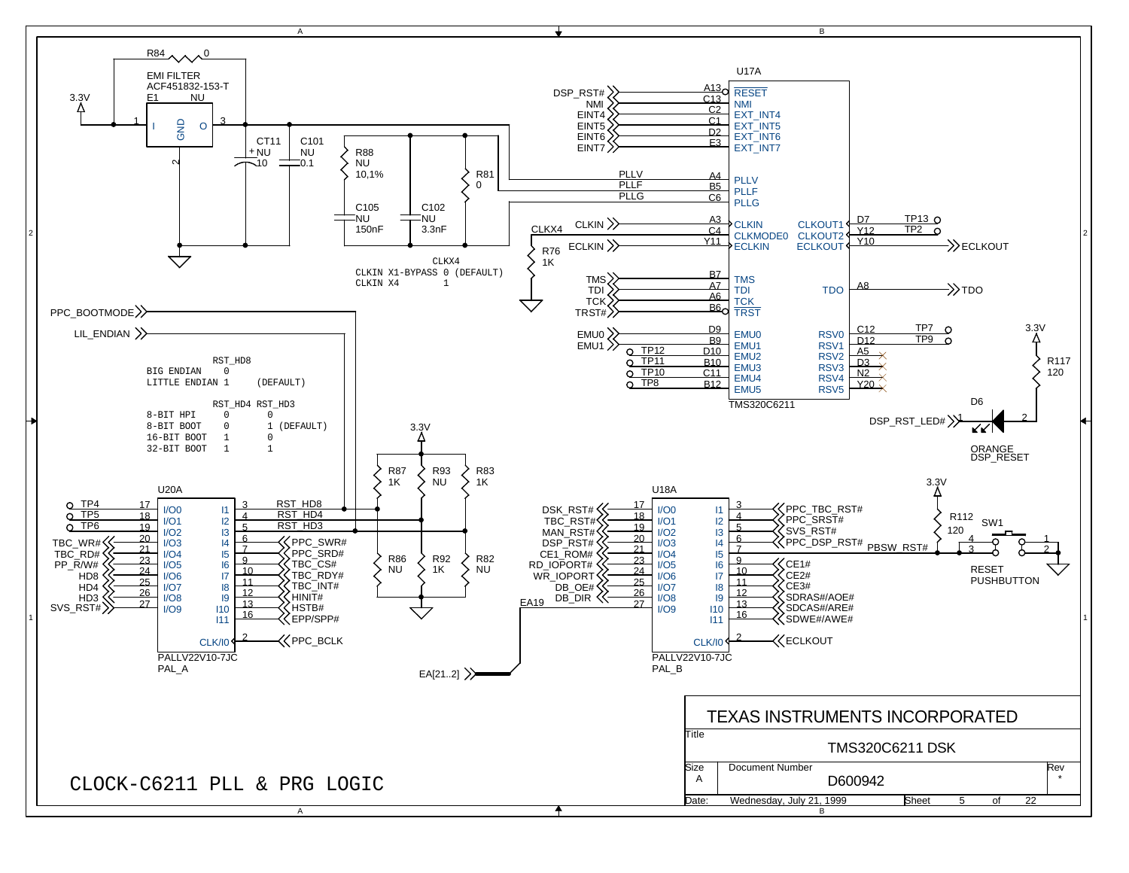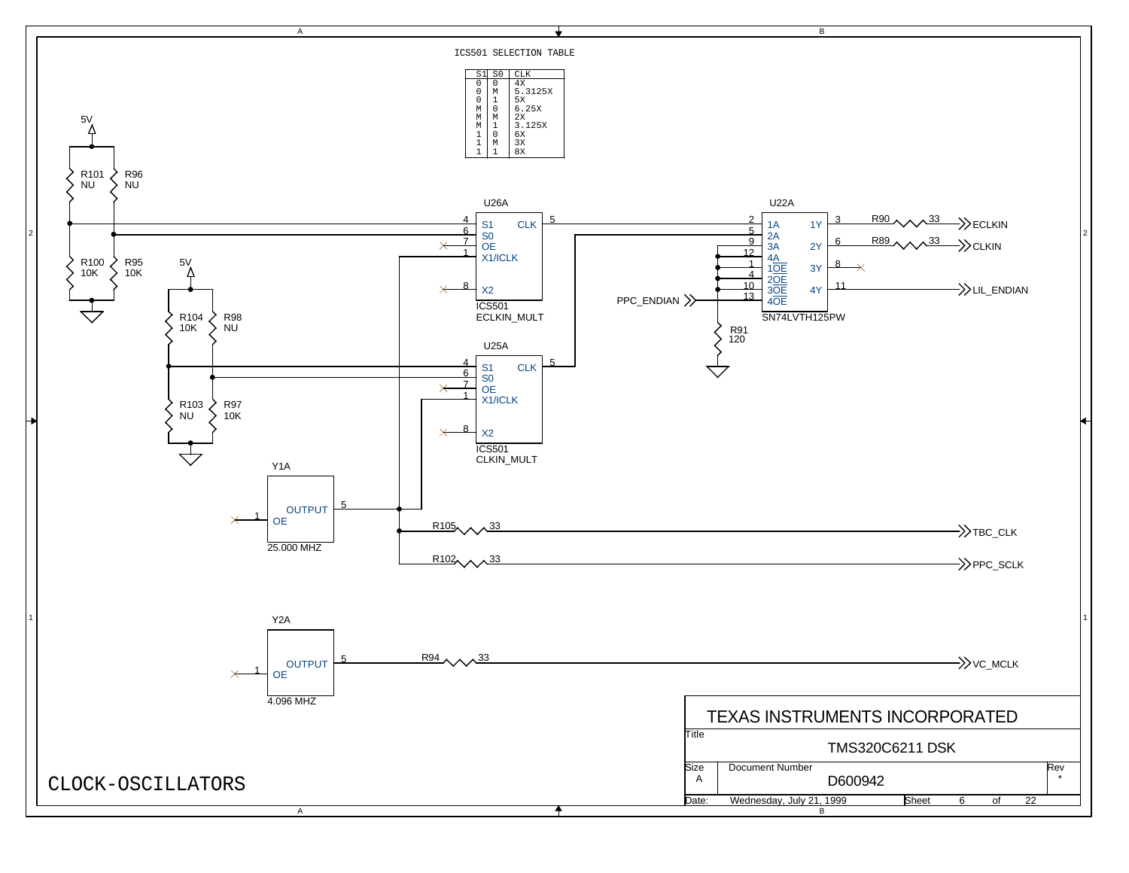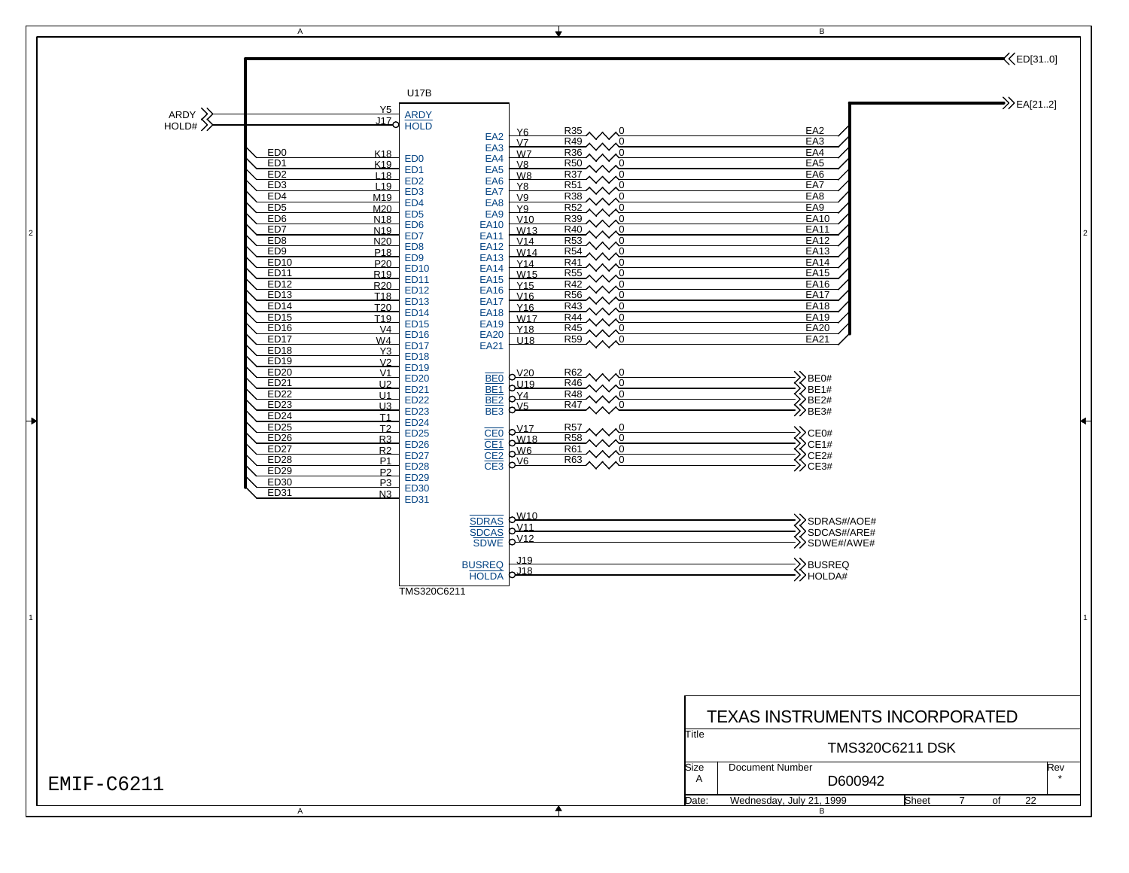

2

1

÷

2

1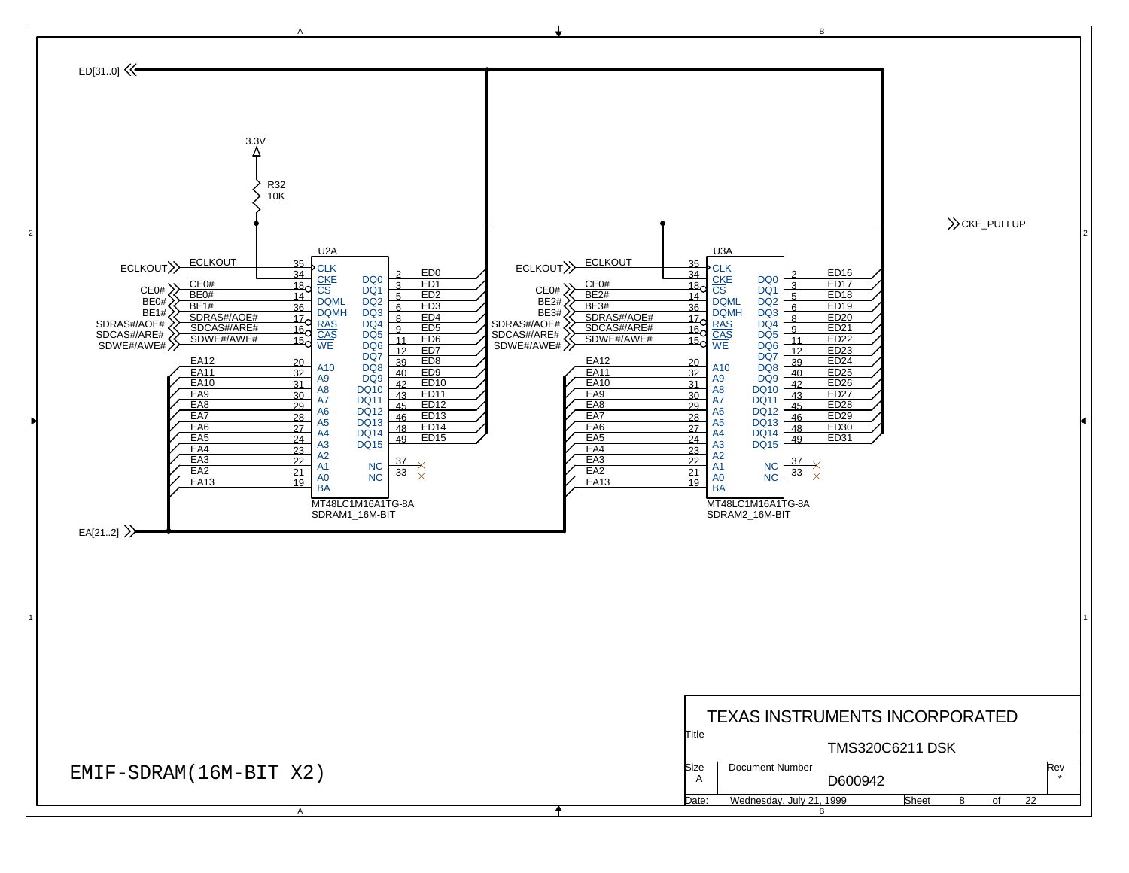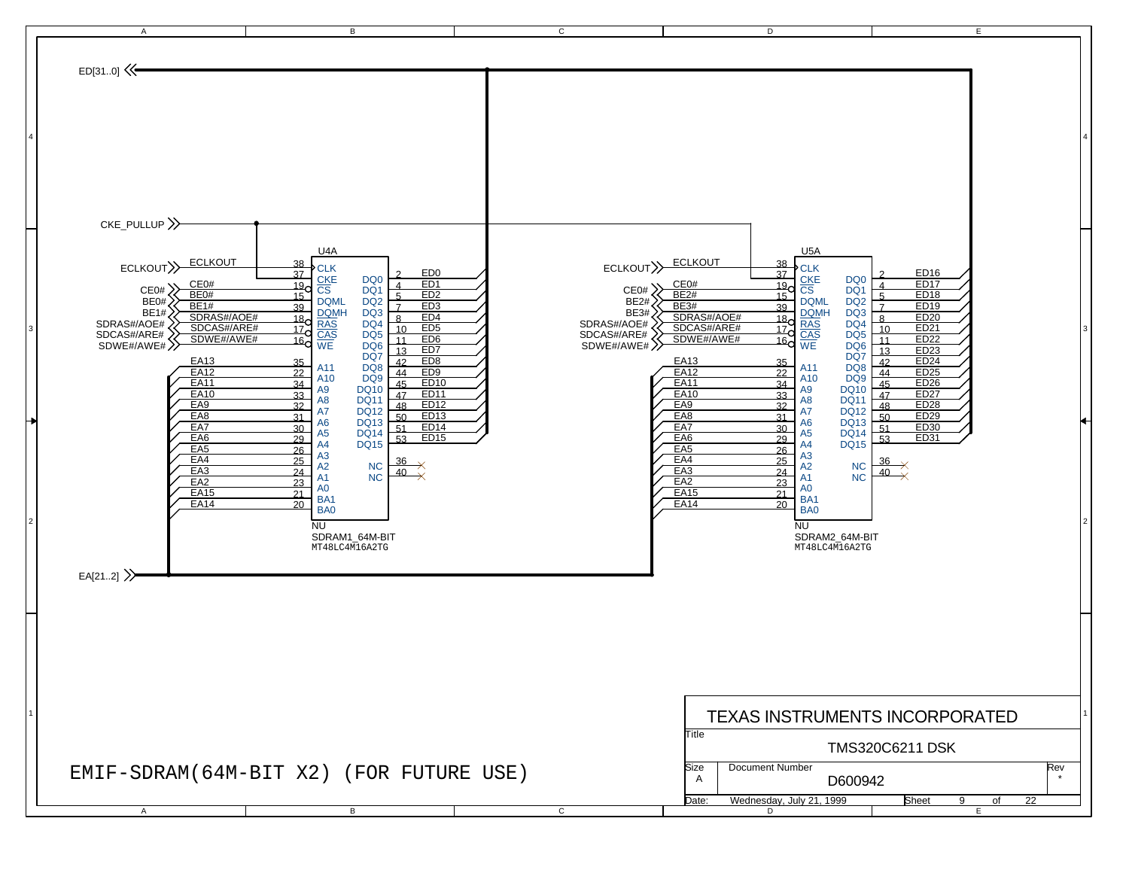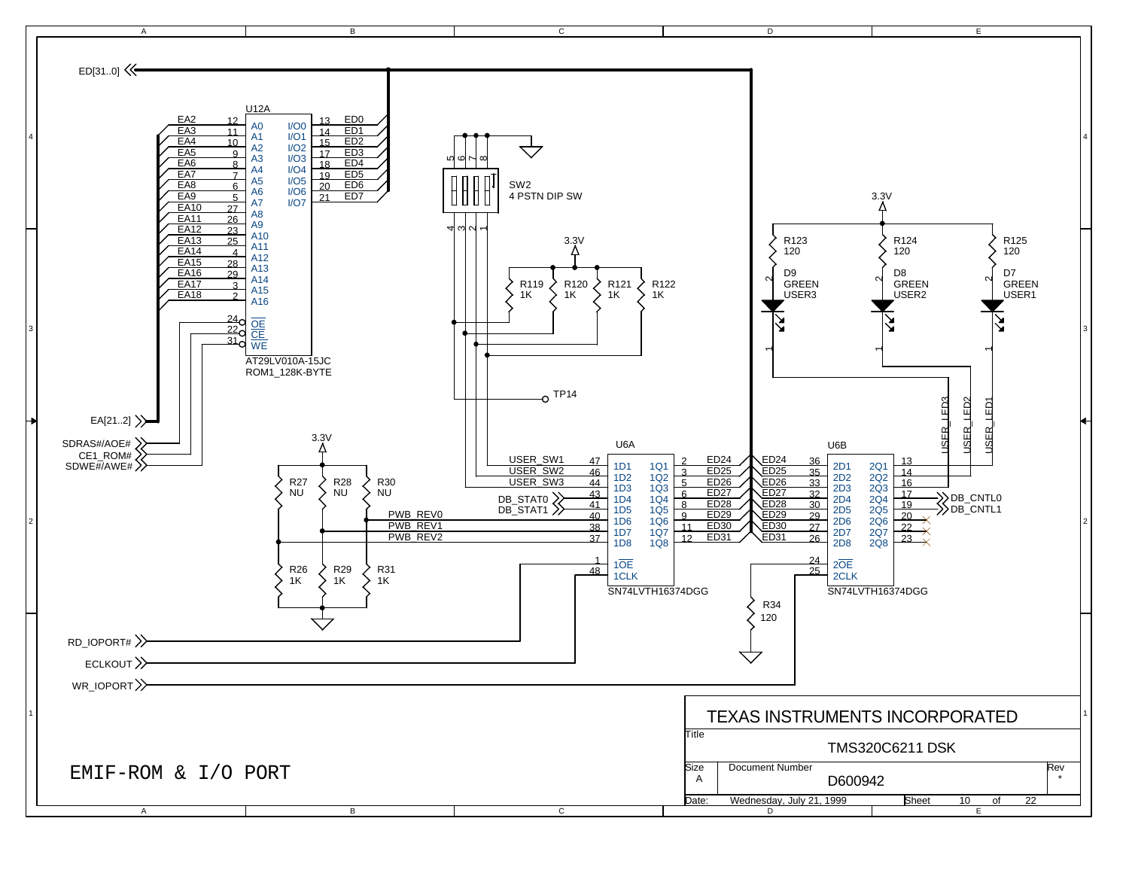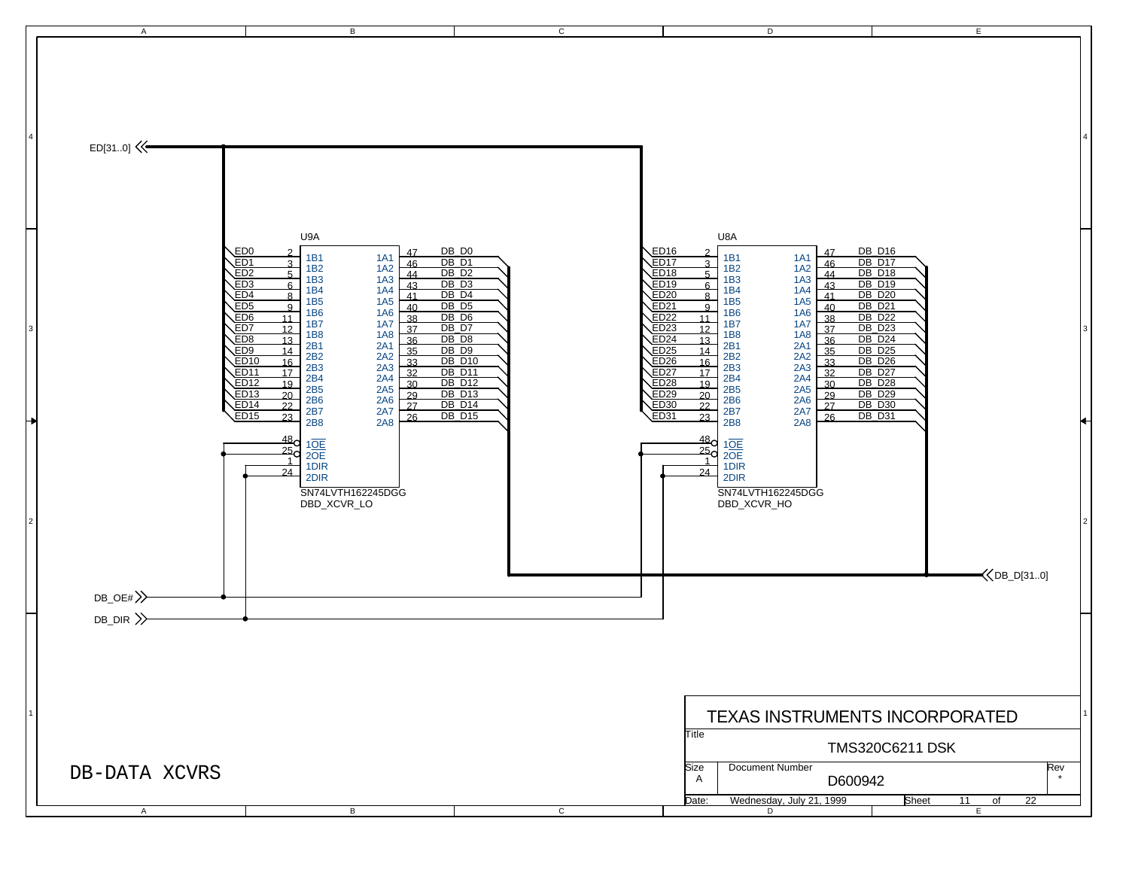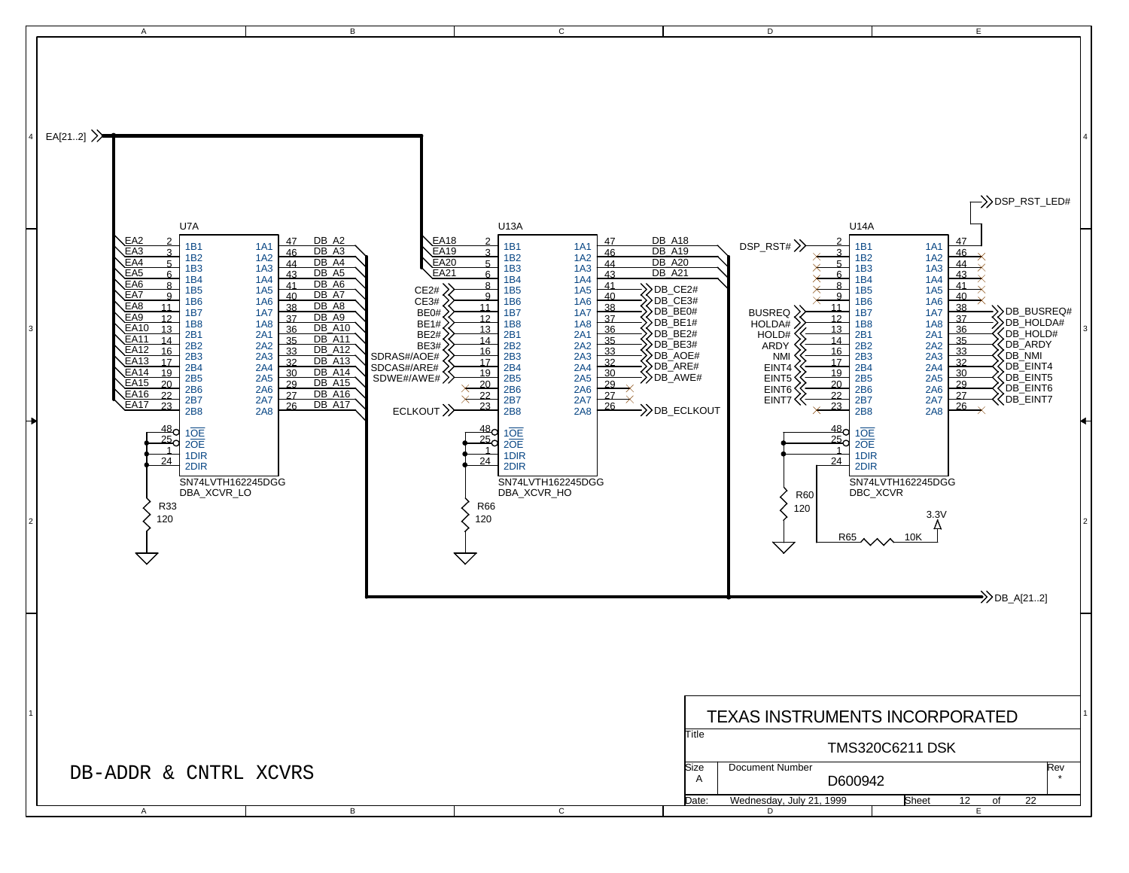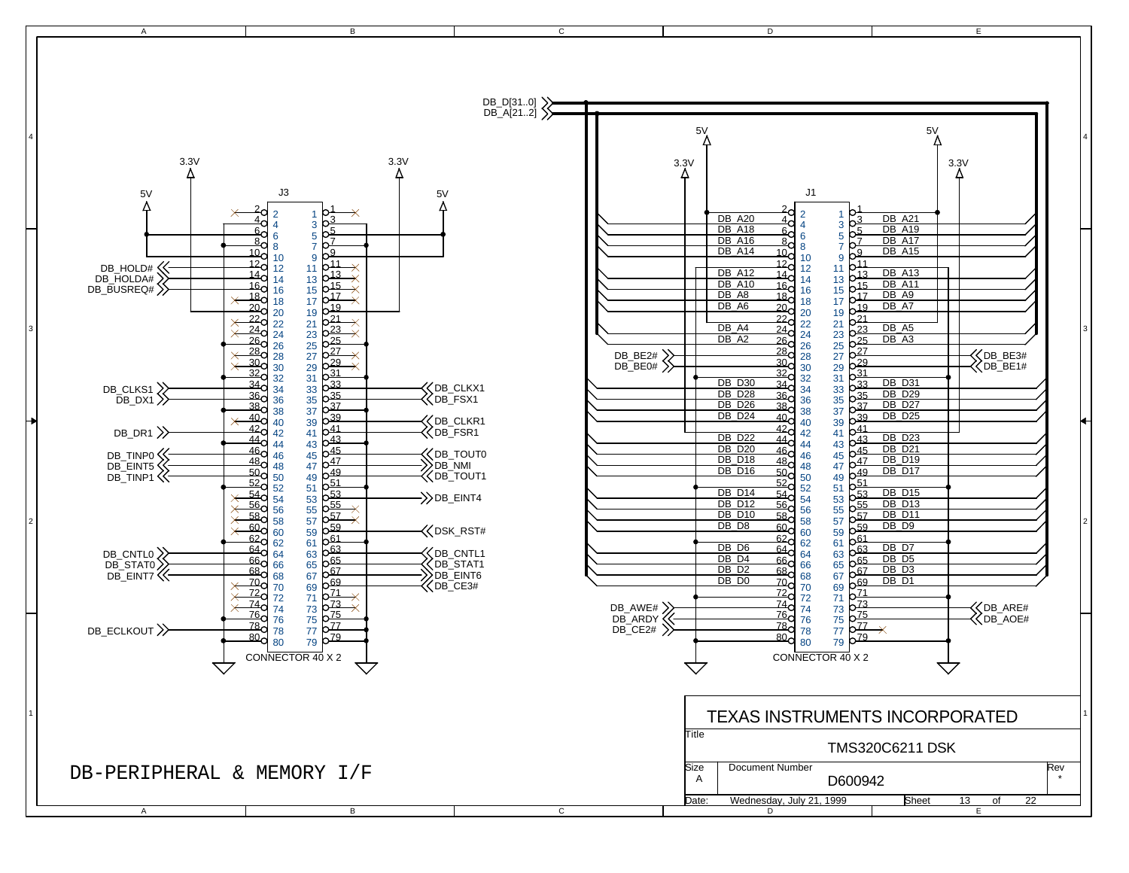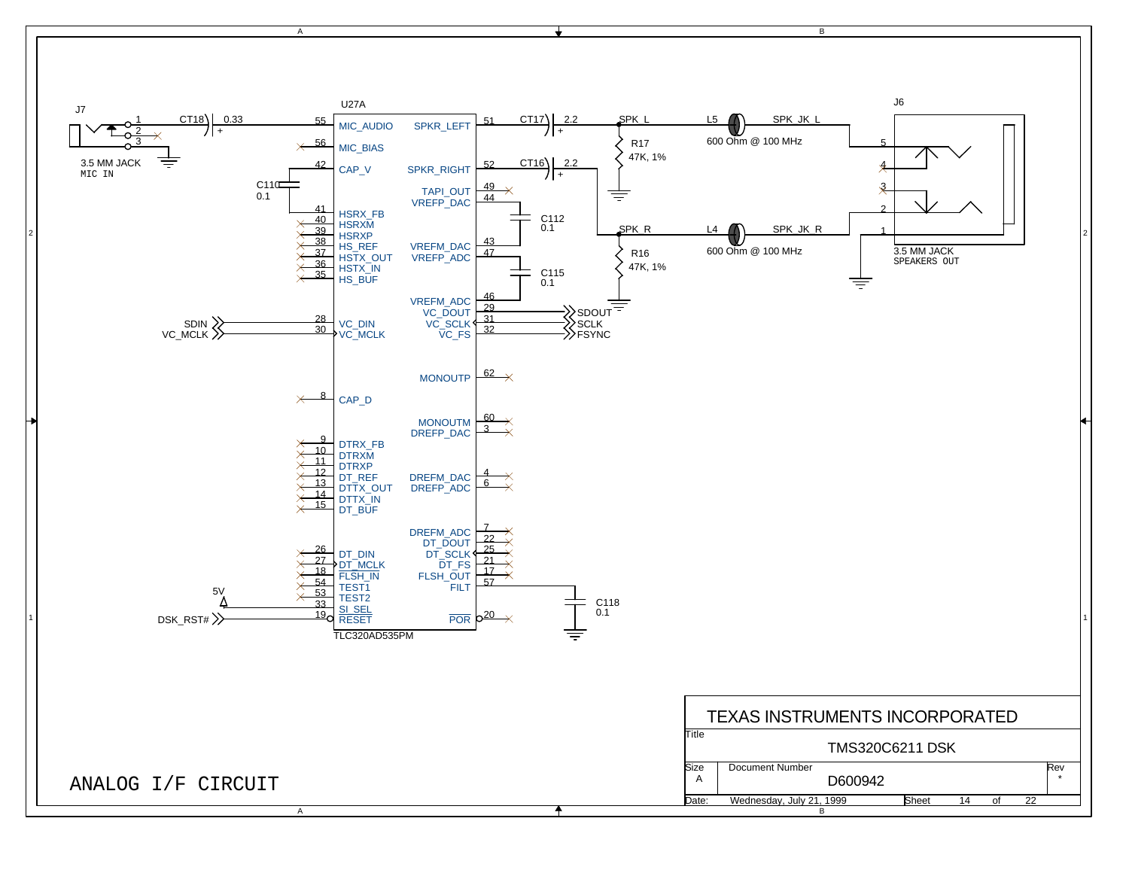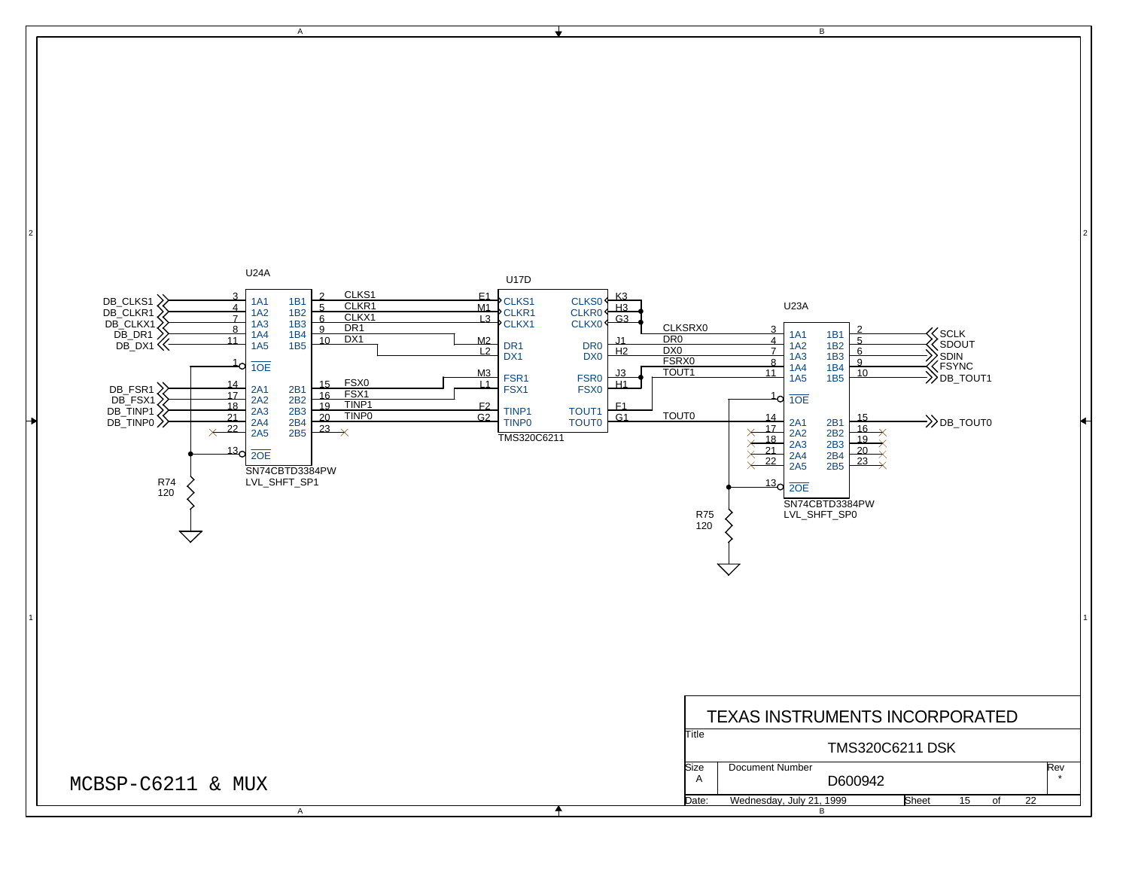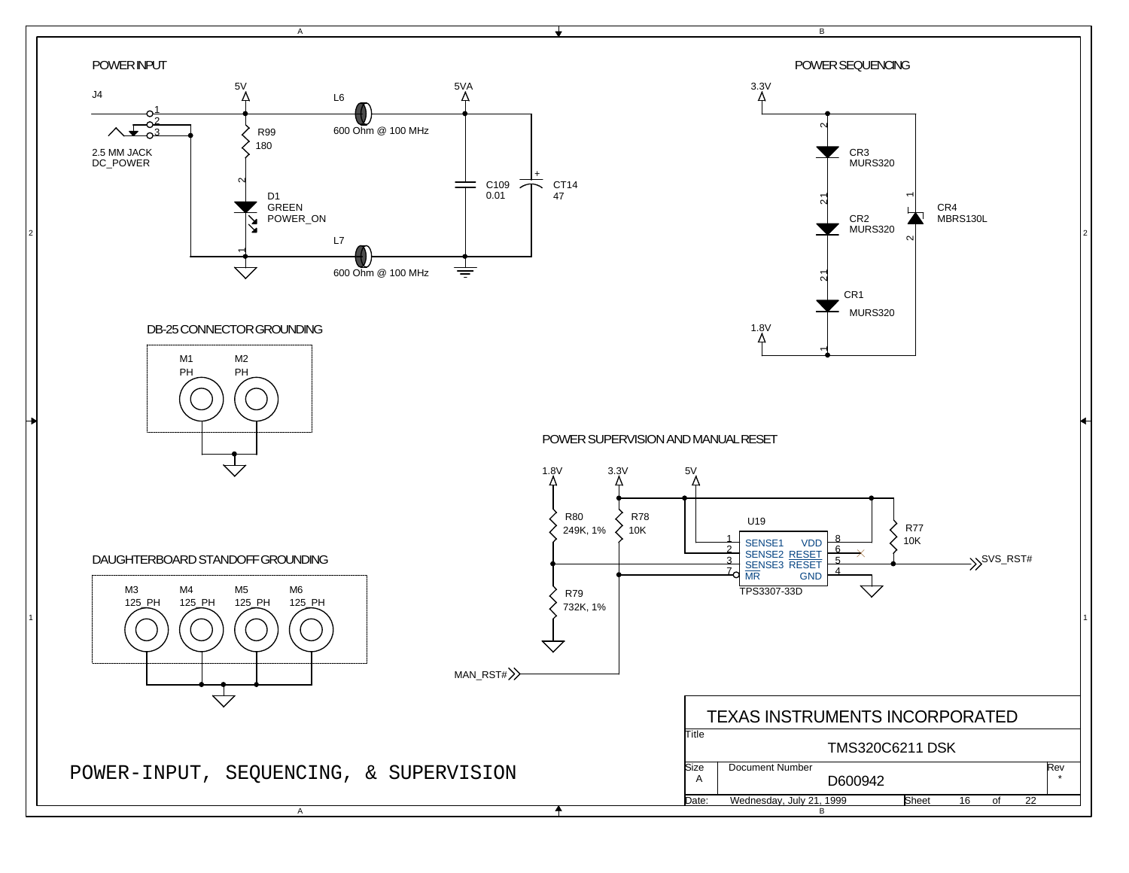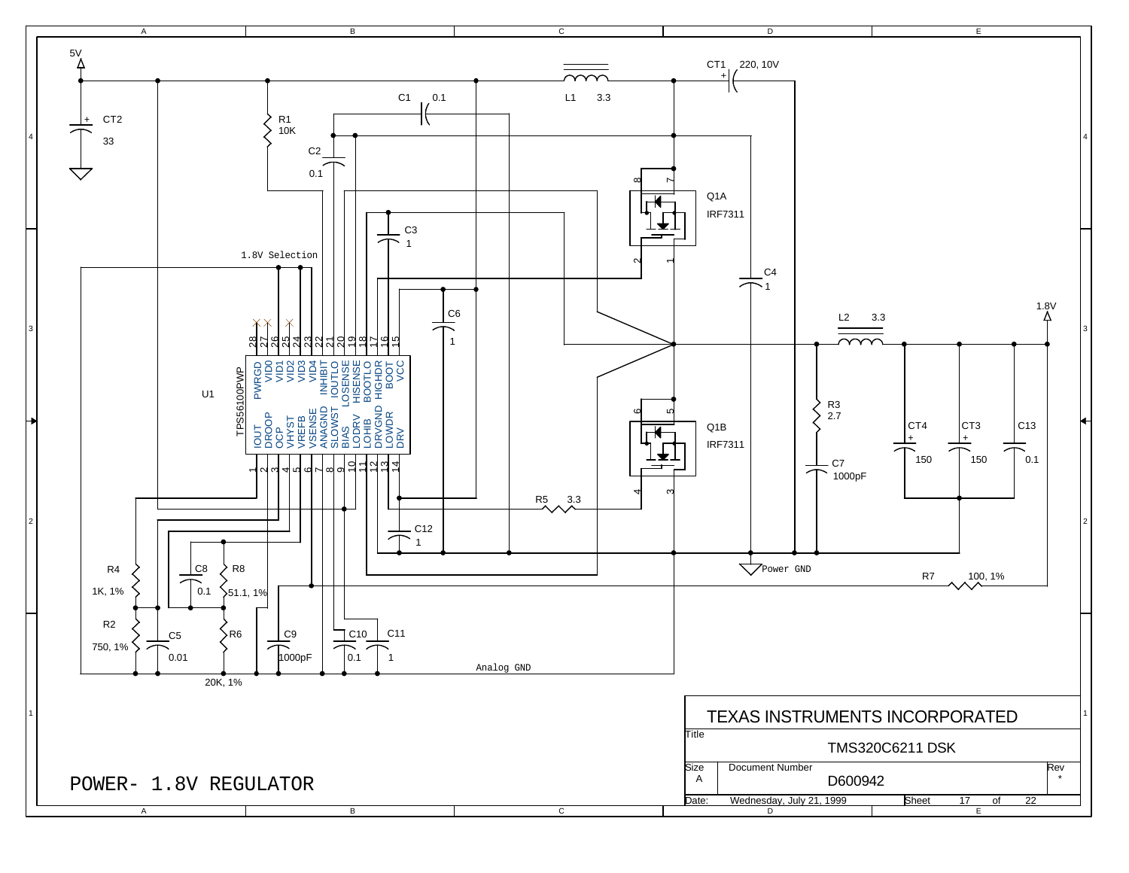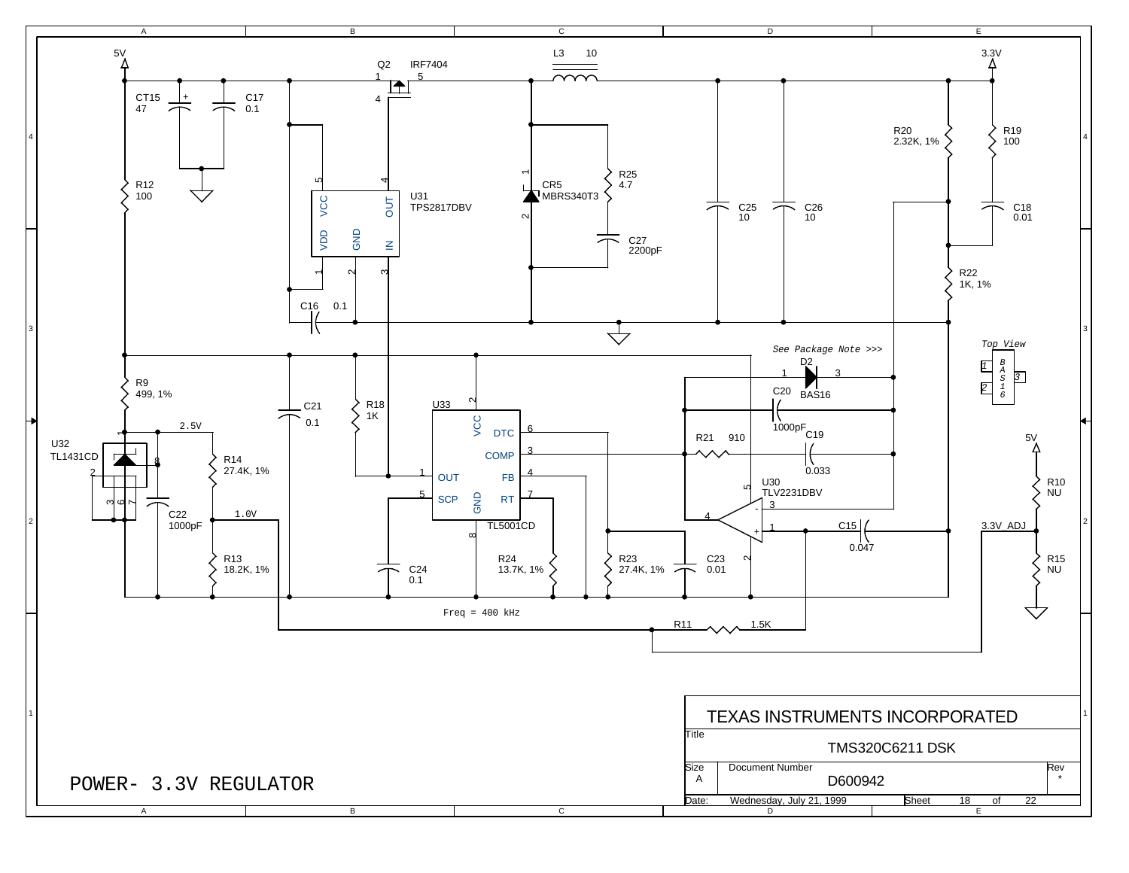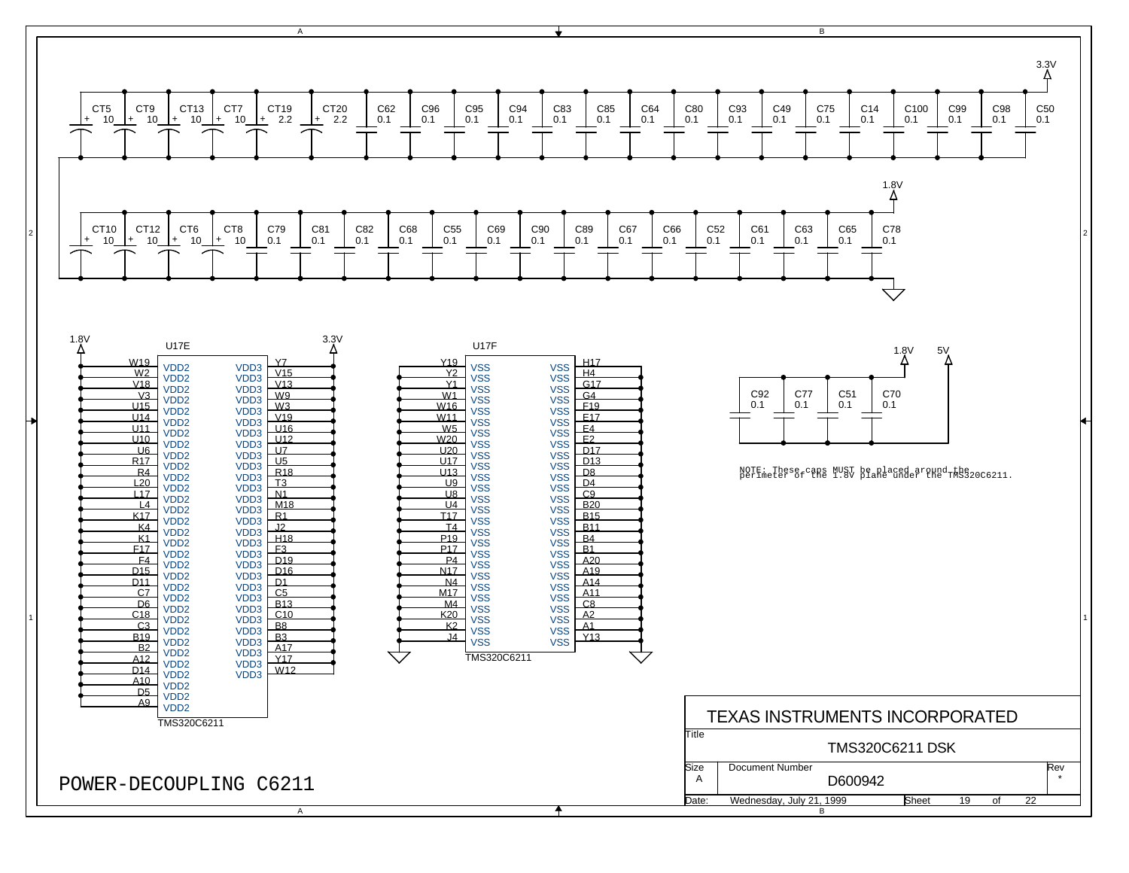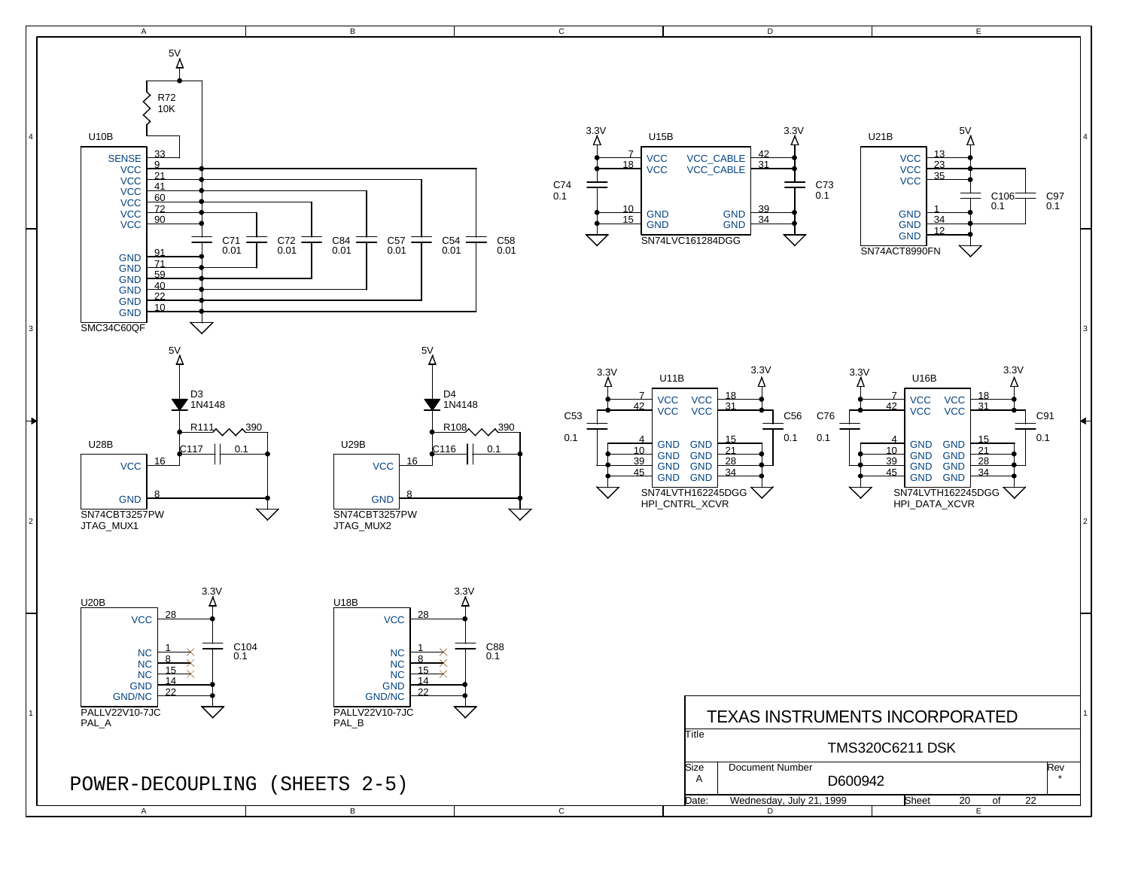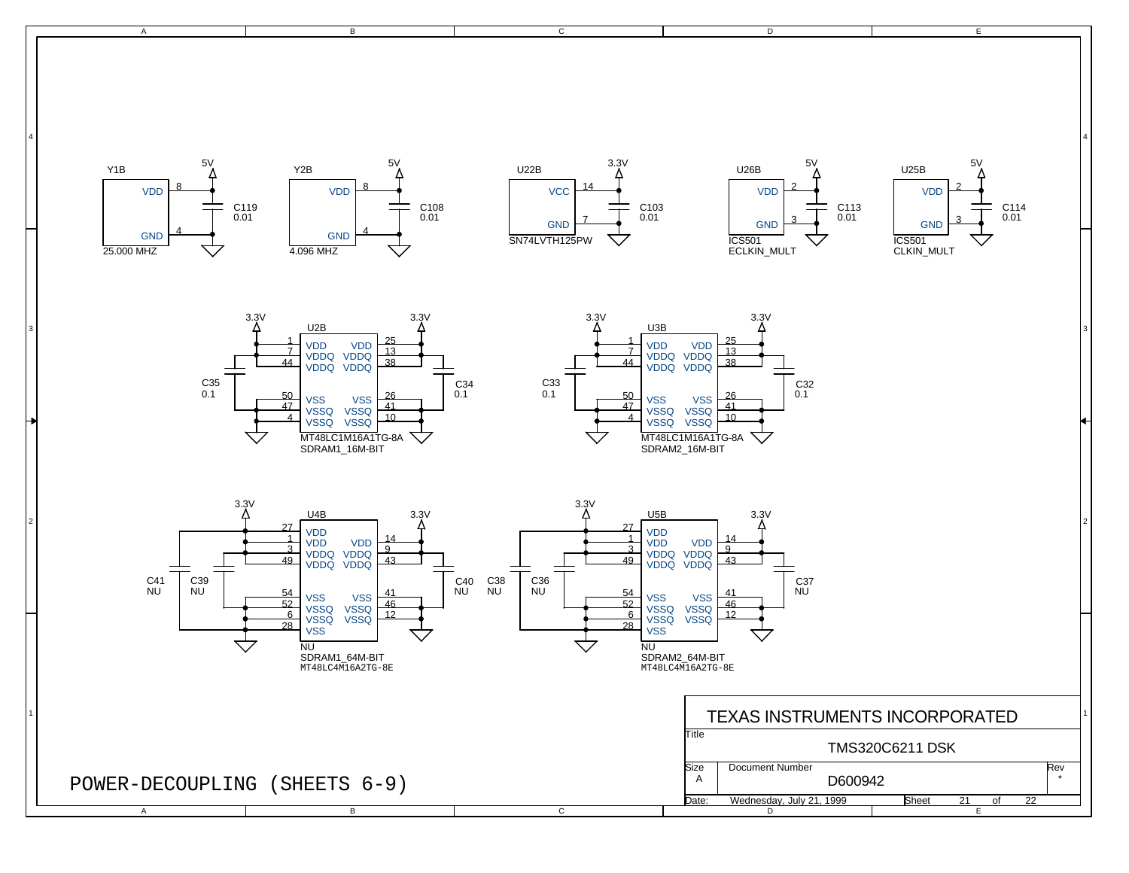A A B  $\overline{B}$  $\overline{c}$  $\overline{D}$ E 4 4 3 3 2 and  $\begin{bmatrix} 1 & 0 & 0 & 0 \\ 0 & 0 & 0 & 0 \\ 0 & 0 & 0 & 0 \\ 0 & 0 & 0 & 0 \end{bmatrix}$  ,  $\begin{bmatrix} 2 & 0 & 0 & 0 \\ 0 & 0 & 0 & 0 \\ 0 & 0 & 0 & 0 \\ 0 & 0 & 0 & 0 \end{bmatrix}$  $^{\prime}$  TEXAS INSTRUMENTS INCORPORATED  $^{\prime}$ POWER-DECOUPLING (SHEETS 6-9) MT48LC4M16A2TG-8E MT48LC4M16A2TG-8E SDRAM2\_64M-BIT **D600942** Rev TMS320C6211 DSK A Date: Wednesday, July 21, 1999 Sheet 21 of 22 **Title** Size | Document Number 5V 5V 5V 5V 5V 5V 5V 5V 5V 5V 5V 5V 3.3V 3.3V 3.3V 3.3V 3.3V 3.3V  $3.3V$ 3.3V U5B NU  $\frac{54}{52}$  vss  $\frac{41}{46}$  $\frac{52}{6}$   $\sqrt{550}$   $\sqrt{550}$   $\frac{46}{12}$  $\frac{1}{3}$  VDD  $\frac{3}{6}$  VDDQ VDDQ  $\frac{9}{4}$  $\overline{49}$   $\overline{1000}$   $\overline{1000}$   $\overline{43}$ 27 28 VSSQ VSSQ VSSQ VSSQ VDD VDD VDDQ VDDQ VDD VSS C36 NU C38 NU C37 NU C41 NU U4B NU SDRAM1\_64M-BIT<br>MT48LC4M16A2TG-8E  $\frac{54}{52}$  vss  $\frac{41}{46}$  $\frac{6}{6}$  VSSQ VSSQ  $\frac{46}{12}$  $\frac{52}{6}$  vSSQ  $\frac{46}{49}$  $\frac{1}{2}$  VDD VDD  $\frac{14}{2}$  $\frac{3}{6}$  VDDQ VDDQ  $\frac{9}{4}$  $\frac{3}{49}$  VDDQ VDDQ  $\frac{9}{43}$  $\frac{27}{1}$ 28 **VSSQ** VDDQ VDDQ VDD VSS C39 NU C35 0.1 U2B MT48LC1M16A1TG-8A SDRAM1\_16M-BIT  $\begin{array}{|c|c|c|c|c|}\n \hline\n 50 & & & & \n\hline\n 47 & & & \n\end{array}$  vss  $\begin{array}{|c|c|c|}\n \hline\n 26 & & & \n\hline\n 47 & & & \n\hline\n 48 & & & \n\end{array}$  $VSSQ VSSQ 10$ **VSSQ**  $\frac{1}{7}$  VDD VDD  $\frac{25}{12}$  $\frac{7}{4}$  VDDQ VDDQ  $\frac{13}{3}$  $\frac{7}{44}$  VDDQ VDDQ  $\frac{13}{38}$ **VSS VSSQ VSSQ** VDDQ VDDQ C34 0.1 C40 NU U22B SN74LVTH125PW 14 7 **VCC** GND C103 0.01 C113 0.01 C114 0.01 U25B ICS501 CLKIN\_MULT 2 3 VDD GND U26B ICS501 ECLKIN\_MULT 2 3 VDD GND Y2B 4.096 MHZ 8 4 VDD GND Y1B 25.000 MHZ 8 4 VDD GND C33 0.1 U3B MT48LC1M16A1TG-8A SDRAM2\_16M-BIT  $\frac{50}{47}$  vss  $\frac{26}{44}$  $4$   $\sqrt{ssq}$   $\sqrt{ssq}$   $10$  $47$  vssq vssq  $41$  $\frac{1}{2}$  VDD VDD  $\frac{25}{12}$  $\frac{7}{4}$  VDDQ VDDQ  $\frac{13}{3}$  $\overline{44}$   $\overline{1}$   $\overline{1}$   $\overline{1}$   $\overline{1}$   $\overline{1}$   $\overline{1}$   $\overline{1}$   $\overline{1}$   $\overline{1}$   $\overline{1}$   $\overline{1}$   $\overline{1}$   $\overline{1}$   $\overline{1}$   $\overline{1}$   $\overline{1}$   $\overline{1}$   $\overline{1}$   $\overline{1}$   $\overline{1}$   $\overline{1}$   $\overline{1}$   $\overline{1}$   $\overline$ VDDQ VDDQ C32 0.1 C119 0.01 C108 0.01

 $\overline{c}$ 

 $\overline{D}$ 

E